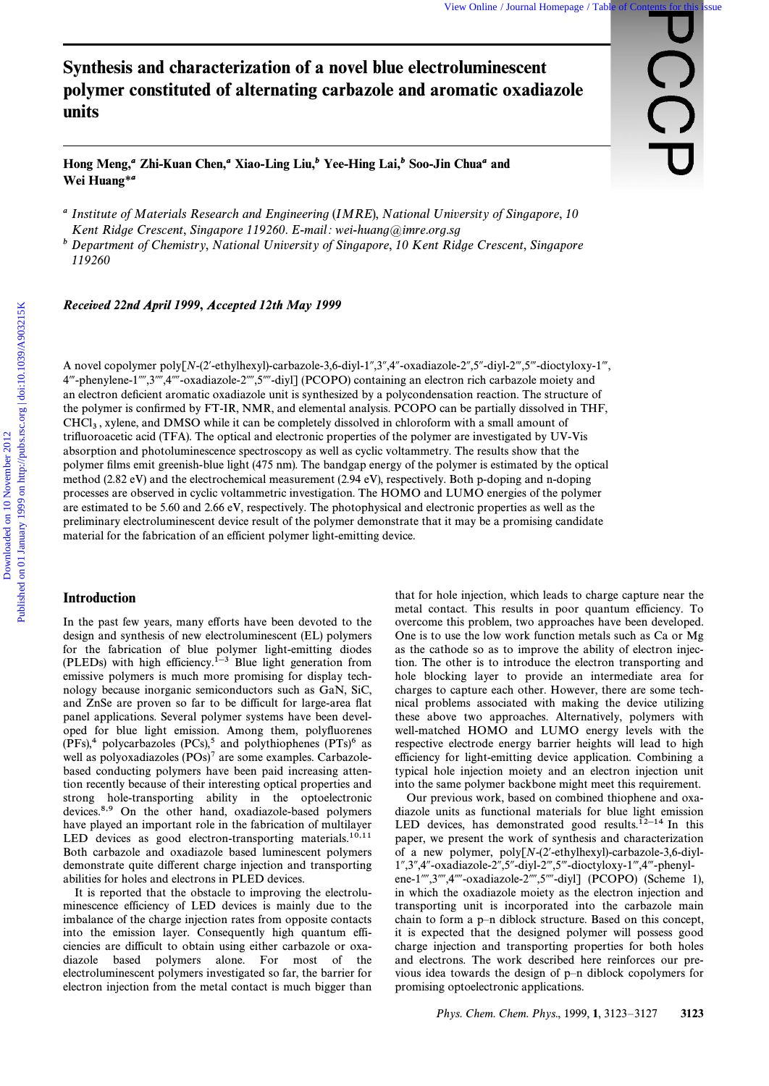# Synthesis and characterization of a novel blue electroluminescent polymer constituted of alternating carbazole and aromatic oxadiazole units

Hong Meng,*a* Zhi-Kuan Chen,*a* Xiao-Ling Liu,*b* Yee-Hing Lai,*b* Soo-Jin Chua*a* and Wei Huang\**a*

<sup>a</sup> Institute of Materials Research and Engineering (IMRE), National University of Singapore, 10 Kent Ridge Crescent, Singapore 119260. E-mail: wei-huang@imre.org.sg

b Department of Chemistry, National University of Singapore, 10 Kent Ridge Crescent, Singapore 119260

*Recei***v***ed 22nd April 1999*, *Accepted 12th May 1999*

A novel copolymer poly[N-(2'-ethylhexyl)-carbazole-3,6-diyl-1",3",4"-oxadiazole-2",5"-diyl-2",5"-dioctyloxy-1", 4'''-phenylene-1''',3''',4''''-oxadiazole-2'''',5''''-diyl] (PCOPO) containing an electron rich carbazole moiety and an electron deficient aromatic oxadiazole unit is synthesized by a polycondensation reaction. The structure of the polymer is confirmed by FT-IR, NMR, and elemental analysis. PCOPO can be partially dissolved in THF,  $CHCl<sub>3</sub>$ , xylene, and DMSO while it can be completely dissolved in chloroform with a small amount of trifugenees in equal (TEA). The artical and algorithmic properties of the polymer are investigated by UV. trifluoroacetic acid (TFA). The optical and electronic properties of the polymer are investigated by UV-Vis absorption and photoluminescence spectroscopy as well as cyclic voltammetry. The results show that the polymer films emit greenish-blue light (475 nm). The bandgap energy of the polymer is estimated by the optical method (2.82 eV) and the electrochemical measurement (2.94 eV), respectively. Both p-doping and n-doping processes are observed in cyclic voltammetric investigation. The HOMO and LUMO energies of the polymer are estimated to be 5.60 and 2.66 eV, respectively. The photophysical and electronic properties as well as the preliminary electroluminescent device result of the polymer demonstrate that it may be a promising candidate material for the fabrication of an efficient polymer light-emitting device. View Cohen classes and **characterization of a novel blue electroluminescent**<br>
polymer constituted of alternating carbazole and aromatic oxadiazole<br>
units<br>
Thom Meng 2261-Kunn Chen," Naio-Ling Liu," Yee-Hing Lai," Sou-Jin

# Introduction

In the past few years, many efforts have been devoted to the design and synthesis of new electroluminescent (EL) polymers for the fabrication of blue polymer light-emitting diodes (PLEDs) with high efficiency.<sup> $1-3$ </sup> Blue light generation from emissive polymers is much more promising for display technology because inorganic semiconductors such as GaN, SiC, and ZnSe are proven so far to be difficult for large-area Ñat panel applications. Several polymer systems have been developed for blue light emission. Among them, polyfluorenes  $(PFs),<sup>4</sup>$  polycarbazoles  $(PCs),<sup>5</sup>$  and polythiophenes  $(PTs)<sup>6</sup>$  as well as polyoxadiazoles (POs)<sup>7</sup> are some examples. Carbazolebased conducting polymers have been paid increasing attention recently because of their interesting optical properties and strong hole-transporting ability in the optoelectronic devices.8,9 On the other hand, oxadiazole-based polymers have played an important role in the fabrication of multilayer LED devices as good electron-transporting materials.<sup>10,11</sup> Both carbazole and oxadiazole based luminescent polymers demonstrate quite different charge injection and transporting abilities for holes and electrons in PLED devices.

It is reported that the obstacle to improving the electroluminescence efficiency of LED devices is mainly due to the imbalance of the charge injection rates from opposite contacts into the emission layer. Consequently high quantum efficiencies are difficult to obtain using either carbazole or oxadiazole based polymers alone. For most of the electroluminescent polymers investigated so far, the barrier for electron injection from the metal contact is much bigger than that for hole injection, which leads to charge capture near the metal contact. This results in poor quantum efficiency. To overcome this problem, two approaches have been developed. One is to use the low work function metals such as Ca or Mg as the cathode so as to improve the ability of electron injection. The other is to introduce the electron transporting and hole blocking layer to provide an intermediate area for charges to capture each other. However, there are some technical problems associated with making the device utilizing these above two approaches. Alternatively, polymers with well-matched HOMO and LUMO energy levels with the respective electrode energy barrier heights will lead to high efficiency for light-emitting device application. Combining a typical hole injection moiety and an electron injection unit into the same polymer backbone might meet this requirement.

Our previous work, based on combined thiophene and oxadiazole units as functional materials for blue light emission LED devices, has demonstrated good results.<sup>12-14</sup> In this paper, we present the work of synthesis and characterization of a new polymer,  $poly[N-(2'-ethylhexyl)-carbazole-3,6-diyl 1'',3'',4''$ -oxadiazole-2<sup>n</sup>,5<sup>n</sup>-diyl-2<sup>m</sup>,5<sup>m</sup>-dioctyloxy-1<sup>m</sup>,4<sup>m</sup>-phenylene-1"",3"",4""-oxadiazole-2"",5""-diyl] (PCOPO) (Scheme 1), in which the oxadiazole moiety as the electron injection and transporting unit is incorporated into the carbazole main chain to form a  $p$ -n diblock structure. Based on this concept, it is expected that the designed polymer will possess good charge injection and transporting properties for both holes and electrons. The work described here reinforces our previous idea towards the design of  $p$ -n diblock copolymers for promising optoelectronic applications.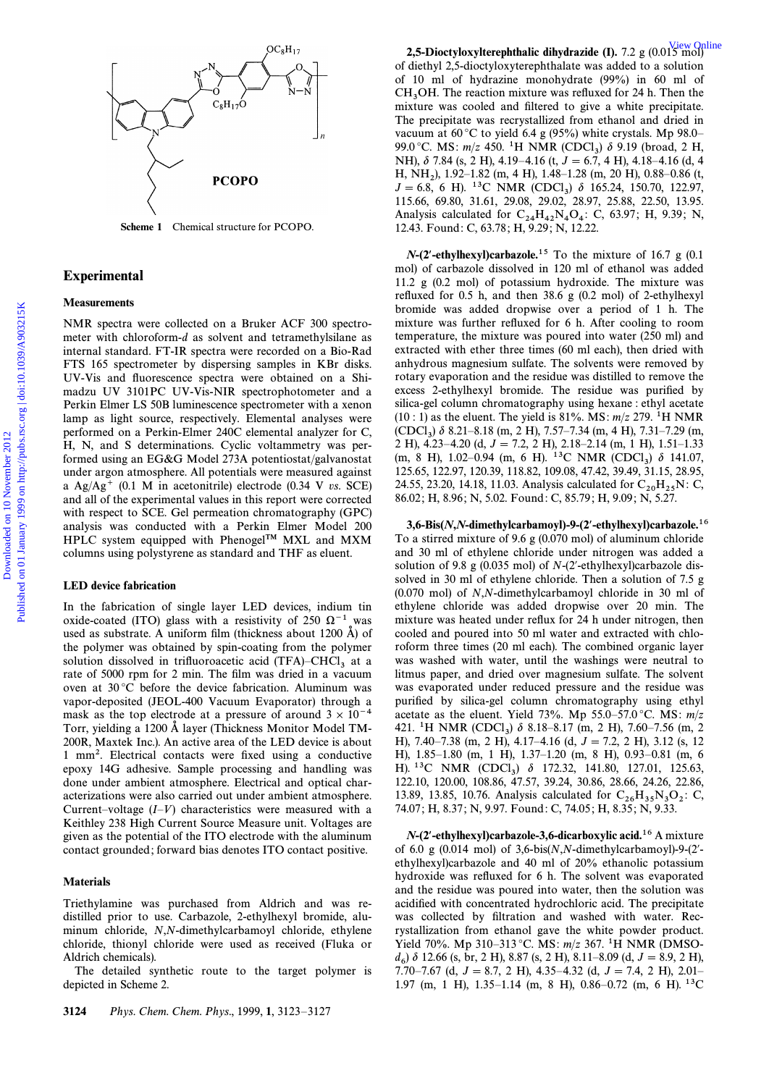

Scheme 1 Chemical structure for PCOPO.

# Experimental

# **Measurements**

NMR spectra were collected on a Bruker ACF 300 spectrometer with chloroform-d as solvent and tetramethylsilane as internal standard. FT-IR spectra were recorded on a Bio-Rad FTS 165 spectrometer by dispersing samples in KBr disks. UV-Vis and Ñuorescence spectra were obtained on a Shimadzu UV 3101PC UV-Vis-NIR spectrophotometer and a Perkin Elmer LS 50B luminescence spectrometer with a xenon lamp as light source, respectively. Elemental analyses were performed on a Perkin-Elmer 240C elemental analyzer for C, H, N, and S determinations. Cyclic voltammetry was performed using an EG&G Model 273A potentiostat/galvanostat under argon atmosphere. All potentials were measured against a  $Ag/Ag^{+}$  (0.1 M in acetonitrile) electrode (0.34 V vs. SCE) and all of the experimental values in this report were corrected with respect to SCE. Gel permeation chromatography (GPC) analysis was conducted with a Perkin Elmer Model 200 HPLC system equipped with Phenogel<sup>TM</sup> MXL and MXM columns using polystyrene as standard and THF as eluent.

#### LED device fabrication

In the fabrication of single layer LED devices, indium tin oxide-coated (ITO) glass with a resistivity of 250  $\Omega^{-1}$  was used as substrate. A uniform film (thickness about 1200  $\AA$ ) of the polymer was obtained by spin-coating from the polymer solution dissolved in trifluoroacetic acid (TFA)–CHCl<sub>3</sub> at a rate of 5000 rpm for 2 min. The film was dried in a vacuum oven at 30 °C before the device fabrication. Aluminum was vapor-deposited (JEOL-400 Vacuum Evaporator) through a mask as the top electrode at a pressure of around  $3 \times 10^{-4}$ Torr, yielding a 1200 Å layer (Thickness Monitor Model TM-200R, Maxtek Inc.). An active area of the LED device is about 1 mm<sup>2</sup>. Electrical contacts were fixed using a conductive epoxy 14G adhesive. Sample processing and handling was done under ambient atmosphere. Electrical and optical characterizations were also carried out under ambient atmosphere. Current–voltage  $(I-V)$  characteristics were measured with a Keithley 238 High Current Source Measure unit. Voltages are given as the potential of the ITO electrode with the aluminum contact grounded ; forward bias denotes ITO contact positive.

#### Materials

Triethylamine was purchased from Aldrich and was redistilled prior to use. Carbazole, 2-ethylhexyl bromide, aluminum chloride, N,N-dimethylcarbamoyl chloride, ethylene chloride, thionyl chloride were used as received (Fluka or Aldrich chemicals).

The detailed synthetic route to the target polymer is depicted in Scheme 2.

2,5-Dioctyloxylterephthalic dihydrazide (I). 7.2 g (0.015 mol) of diethyl 2,5-dioctyloxyterephthalate was added to a solution of 10 ml of hydrazine monohydrate (99%) in 60 ml of  $CH<sub>3</sub>OH$ . The reaction mixture was refluxed for 24 h. Then the  $\frac{3}{2}$  mixture was cooled and filtered to give a white precipitate mixture was cooled and filtered to give a white precipitate. The precipitate was recrystallized from ethanol and dried in vacuum at  $60^{\circ}$ C to yield 6.4 g (95%) white crystals. Mp 98.0– 99.0 °C. MS:  $m/z$  450. <sup>1</sup>H NMR (CDCl<sub>3</sub>)  $\delta$  9.19 (broad, 2 H, 3.19 (d 4.15)  $\delta$  9.19 (d 4.15)  $\delta$  4.16 (d 4.15) NH),  $\delta$  7.84 (s, 2 H), 4.19–4.16 (t,  $J = 6.7$ , 4 H), 4.18–4.16 (d, 4 H, NH<sub>2</sub>), 1.92–1.82 (m, 4 H), 1.48–1.28 (m, 20 H), 0.88–0.86 (t,  $I = 6.8$ , 6 H), <sup>13</sup>C NMP (CDCl),  $\frac{3}{2}$ , 165.24, 150.70, 122.07  $J = 6.8$ , 6 H). <sup>13</sup>C NMR (CDCl<sub>3</sub>)  $\delta$  165.24, 150.70, 122.97, 3156.6 69.80, 31.61, 20.08, 20.02, 28.97, 25.88, 22.50, 13.95 115.66, 69.80, 31.61, 29.08, 29.02, 28.97, 25.88, 22.50, 13.95. Analysis calculated for  $C_{24}H_{42}N_4O_4$ : C, 63.97; H, 9.39; N, 12.43. Found: C, 63.78: H, 0.20; N, 12.22 12.43. Found : C, 63.78 ; H, 9.29 ; N, 12.22.

 $N$ -(2<sup>*'*</sup>-ethylhexyl)carbazole.<sup>15</sup> To the mixture of 16.7 g (0.1) mol) of carbazole dissolved in 120 ml of ethanol was added 11.2 g (0.2 mol) of potassium hydroxide. The mixture was refluxed for  $0.5$  h, and then  $38.6$  g  $(0.2 \text{ mol})$  of 2-ethylhexyl bromide was added dropwise over a period of 1 h. The mixture was further refluxed for 6 h. After cooling to room temperature, the mixture was poured into water (250 ml) and extracted with ether three times (60 ml each), then dried with anhydrous magnesium sulfate. The solvents were removed by rotary evaporation and the residue was distilled to remove the excess 2-ethylhexyl bromide. The residue was purified by silica-gel column chromatography using hexane : ethyl acetate  $(10:1)$  as the eluent. The yield is 81%. MS:  $m/z$  279. <sup>1</sup>H NMR  $(CDCl_3)$   $\delta$  8.21–8.18 (m, 2 H), 7.57–7.34 (m, 4 H), 7.31–7.29 (m, 3 H), 4.23, 4.20 (d,  $I = 7.2$ , 3 H), 3.18, 3.14 (m, 1 H), 1.51, 1.32 2 H), 4.23–4.20 (d,  $J = 7.2$ , 2 H), 2.18–2.14 (m, 1 H), 1.51–1.33 (m, 8 H), 1.02–0.94 (m, 6 H). <sup>13</sup>C NMR (CDCl<sub>3</sub>)  $\delta$  141.07, 125.65, 122.07, 120.99, 118.92, 100.08, 47.42, 39.49, 31.15, 28.95 125.65, 122.97, 120.39, 118.82, 109.08, 47.42, 39.49, 31.15, 28.95, 24.55, 23.20, 14.18, 11.03. Analysis calculated for  $C_{20}H_{25}N$ : C, 86.02; H, 8.96; N, 5.02. Found: C, 85.79; H, 9.09; N, 5.27.  $[3.56, 693, 346, 124, 1044, 1044, 1045, 1045, 1045, 1045, 1045, 1045, 1045, 1045, 1045, 1045, 1045, 1045, 1045, 1045, 1045, 1045, 1045, 1045, 1045, 1045, 1045, 1045, 1045, 1045, 1045, 1045, 1045, 1045, 1045, 1045, 1045,$ 

3,6-Bis(*N*,*N*-dimethylcarbamoyl)-9-(2*º*-ethylhexyl)carbazole.16 To a stirred mixture of 9.6 g (0.070 mol) of aluminum chloride and 30 ml of ethylene chloride under nitrogen was added a solution of 9.8 g (0.035 mol) of  $N-(2'-ethylhexyl)carbazole$  dissolved in 30 ml of ethylene chloride. Then a solution of 7.5 g (0.070 mol) of N,N-dimethylcarbamoyl chloride in 30 ml of ethylene chloride was added dropwise over 20 min. The mixture was heated under reflux for 24 h under nitrogen, then cooled and poured into 50 ml water and extracted with chloroform three times (20 ml each). The combined organic layer was washed with water, until the washings were neutral to litmus paper, and dried over magnesium sulfate. The solvent was evaporated under reduced pressure and the residue was purified by silica-gel column chromatography using ethyl acetate as the eluent. Yield 73%. Mp 55.0–57.0 °C. MS:  $m/z$ 421. <sup>1</sup>H NMR (CDCl<sub>3</sub>)  $\delta$  8.18–8.17 (m, 2 H), 7.60–7.56 (m, 2<br>H) 7.40 7.38 (m, 2 H) 4.17 4.16 (d,  $I = 7.2$  a H) 3.12 (c, 12 H), 7.40–7.38 (m, 2 H), 4.17–4.16 (d,  $J = 7.2$ , 2 H), 3.12 (s, 12 H),  $1.85-1.80$  (m, 1 H),  $1.37-1.20$  (m, 8 H), 0.93–0.81 (m, 6 H). <sup>13</sup>C NMR (CDCl<sub>3</sub>)  $\delta$  172.32, 141.80, 127.01, 125.63, 3122, 3120, 32.326 122.10, 120.00, 108.86, 47.57, 39.24, 30.86, 28.66, 24.26, 22.86, 13.89, 13.85, 10.76. Analysis calculated for  $C_{26}H_{35}N_3O_2$ : C,<br>74.07: H 8.27: N 0.07 Found: C 74.05: H 8.25: N 0.22 74.07 ; H, 8.37 ; N, 9.97. Found : C, 74.05 ; H, 8.35 ; N, 9.33.

*N*-(2*º*-ethylhexyl)carbazole-3,6-dicarboxylic acid.16 A mixture of 6.0 g (0.014 mol) of 3,6-bis(N,N-dimethylcarbamoyl)-9- $(2'$ ethylhexyl)carbazole and 40 ml of 20% ethanolic potassium hydroxide was refluxed for 6 h. The solvent was evaporated and the residue was poured into water, then the solution was acidified with concentrated hydrochloric acid. The precipitate was collected by filtration and washed with water. Recrystallization from ethanol gave the white powder product. Yield 70%. Mp 310–313 °C. MS:  $m/z$  367. <sup>1</sup>H NMR (DMSO $d_6$ )  $\delta$  12.66 (s, br, 2 H), 8.87 (s, 2 H), 8.11–8.09 (d,  $J = 8.9, 2$  H),  $7.70, 7.67$  (d,  $J = 8.7, 2$  H), 4.35, 4.32 (d,  $J = 7.4, 2$  H), 2.01 7.70–7.67 (d,  $J = 8.7, 2$  H), 4.35–4.32 (d,  $J = 7.4, 2$  H), 2.01– 1.97 (m, 1 H), 1.35–1.14 (m, 8 H), 0.86–0.72 (m, 6 H).  $^{13}$ C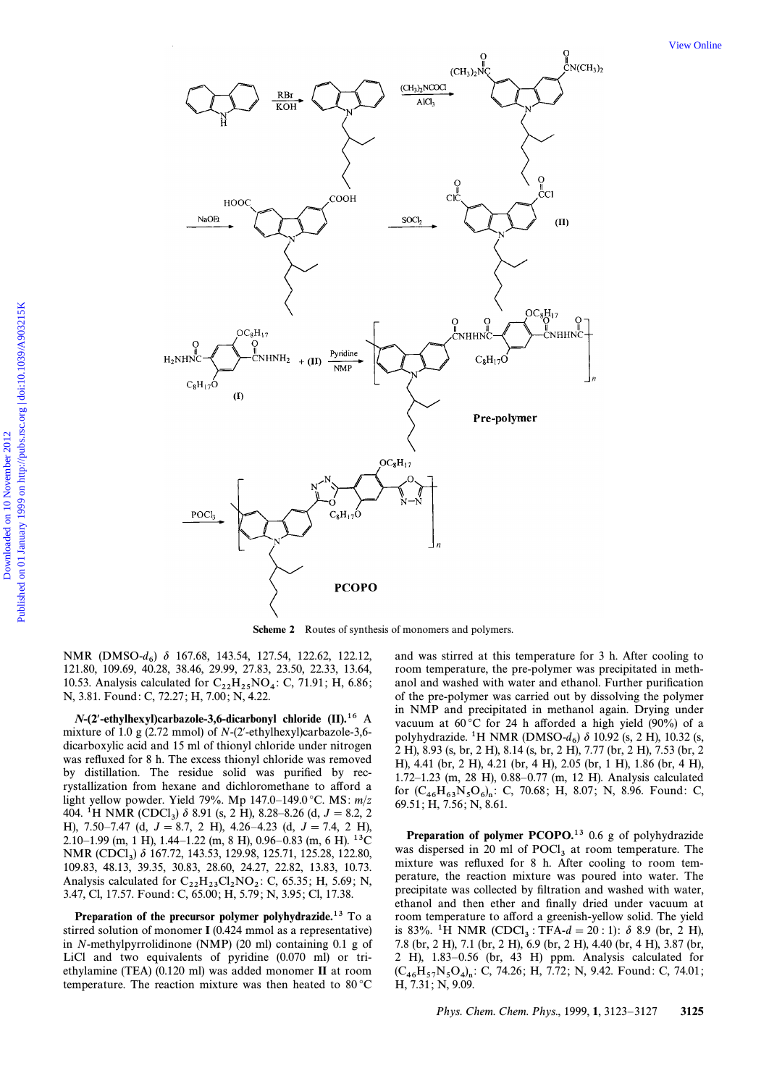

Scheme 2 Routes of synthesis of monomers and polymers.

NMR (DMSO- $d_6$ )  $\delta$  167.68, 143.54, 127.54, 122.62, 122.12, 121.80, 109.69, 40.28, 38.46, 29.99, 27.83, 23.50, 22.33, 13.64, 10.53. Analysis calculated for  $C_{22}H_{25}NO_4$ : C, 71.91; H, 6.86; N, 3.81. Found: C, 72.27; H, 7.00; N, 4.22.

 $N-(2'-ethylhexyl) car bazole-3, 6-dicarbonyl$  chloride (II).<sup>16</sup> A mixture of 1.0 g (2.72 mmol) of  $N-(2'-ethylhexyl)carbazole-3,6$ dicarboxylic acid and 15 ml of thionyl chloride under nitrogen was refluxed for 8 h. The excess thionyl chloride was removed by distillation. The residue solid was purified by recrystallization from hexane and dichloromethane to afford a light yellow powder. Yield 79%. Mp 147.0-149.0 °C. MS:  $m/z$ 404. <sup>1</sup>H NMR (CDCl<sub>3</sub>)  $\delta$  8.91 (s, 2 H), 8.28–8.26 (d, J = 8.2, 2 H), 7.50-7.47 (d,  $J = 8.7$ , 2 H), 4.26-4.23 (d,  $J = 7.4$ , 2 H) 2.10–1.99 (m, 1 H), 1.44–1.22 (m, 8 H), 0.96–0.83 (m, 6 H).  $^{13}$ C NMR (CDCl<sub>3</sub>) δ 167.72, 143.53, 129.98, 125.71, 125.28, 122.80, 109.83, 48.13, 39.35, 30.83, 28.60, 24.27, 22.82, 13.83, 10.73. Analysis calculated for  $C_{22}H_{23}Cl_2NO_2$ : C, 65.35; H, 5.69; N, 3.47, Cl, 17.57. Found: C, 65.00; H, 5.79; N, 3.95; Cl, 17.38.

Preparation of the precursor polymer polyhydrazide.<sup>13</sup> To a stirred solution of monomer  $I(0.424 \text{ mmol as a representative})$ in N-methylpyrrolidinone (NMP) (20 ml) containing 0.1 g of LiCl and two equivalents of pyridine  $(0.070 \text{ ml})$  or triethylamine (TEA) (0.120 ml) was added monomer II at room temperature. The reaction mixture was then heated to  $80^{\circ}$ C

and was stirred at this temperature for 3 h. After cooling to room temperature, the pre-polymer was precipitated in methanol and washed with water and ethanol. Further purification of the pre-polymer was carried out by dissolving the polymer in NMP and precipitated in methanol again. Drying under vacuum at  $60^{\circ}$ C for 24 h afforded a high yield (90%) of a polyhydrazide. <sup>1</sup>H NMR (DMSO- $d_6$ )  $\delta$  10.92 (s, 2 H), 10.32 (s, 2 H), 8.93 (s, br, 2 H), 8.14 (s, br, 2 H), 7.77 (br, 2 H), 7.53 (br, 2 H), 4.41 (br, 2 H), 4.21 (br, 4 H), 2.05 (br, 1 H), 1.86 (br, 4 H), 1.72-1.23 (m, 28 H), 0.88-0.77 (m, 12 H). Analysis calculated for  $(C_{46}H_{63}N_5O_6)_n$ : C, 70.68; H, 8.07; N, 8.96. Found: C, 69.51; H, 7.56; N, 8.61.

**Preparation of polymer PCOPO.**<sup>13</sup> 0.6 g of polyhydrazide was dispersed in 20 ml of  $POCl<sub>3</sub>$  at room temperature. The mixture was refluxed for 8 h. After cooling to room temperature, the reaction mixture was poured into water. The precipitate was collected by filtration and washed with water, ethanol and then ether and finally dried under vacuum at room temperature to afford a greenish-yellow solid. The yield is 83%. <sup>1</sup>H NMR (CDCl<sub>3</sub>: TFA- $d = 20$ : 1):  $\delta$  8.9 (br, 2 H), 7.8 (br, 2 H), 7.1 (br, 2 H), 6.9 (br, 2 H), 4.40 (br, 4 H), 3.87 (br, 2 H), 1.83-0.56 (br, 43 H) ppm. Analysis calculated for  $(C_{46}H_{57}N_5O_4)_n$ : C, 74.26; H, 7.72; N, 9.42. Found: C, 74.01; H, 7.31; N, 9.09.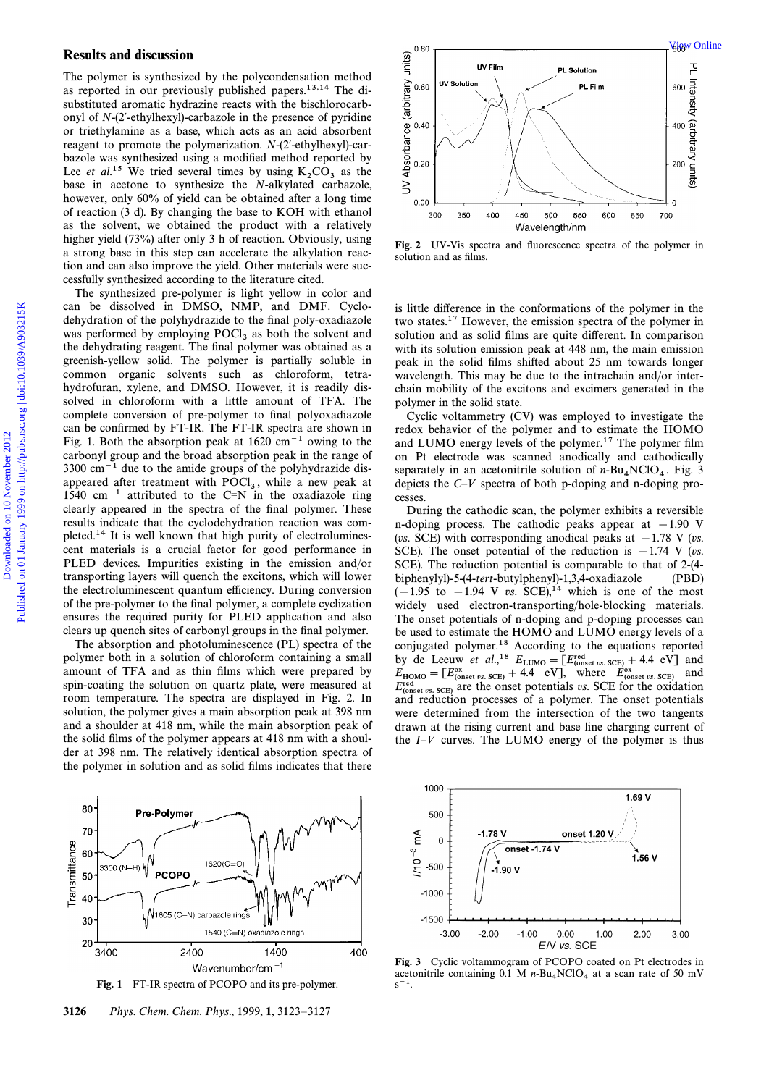# Results and discussion

The polymer is synthesized by the polycondensation method as reported in our previously published papers.13,14 The disubstituted aromatic hydrazine reacts with the bischlorocarbonyl of  $N-(2'-ethylhexyl)-carbazole$  in the presence of pyridine or triethylamine as a base, which acts as an acid absorbent reagent to promote the polymerization.  $N-(2'-ethylhexyl)-car$ bazole was synthesized using a modified method reported by Lee *et al.*<sup>15</sup> We tried several times by using  $K_2CO_3$  as the base in acetone to synthesize the *N*-alkylated carbazole, however, only 60% of yield can be obtained after a long time of reaction (3 d). By changing the base to KOH with ethanol as the solvent, we obtained the product with a relatively higher yield (73%) after only 3 h of reaction. Obviously, using a strong base in this step can accelerate the alkylation reaction and can also improve the yield. Other materials were successfully synthesized according to the literature cited.

The synthesized pre-polymer is light yellow in color and can be dissolved in DMSO, NMP, and DMF. Cyclodehydration of the polyhydrazide to the final poly-oxadiazole was performed by employing  $POCl<sub>3</sub>$  as both the solvent and the dehydrating reagent. The final polymer was obtained as a greenish-yellow solid. The polymer is partially soluble in common organic solvents such as chloroform, tetrahydrofuran, xylene, and DMSO. However, it is readily dissolved in chloroform with a little amount of TFA. The complete conversion of pre-polymer to final polyoxadiazole can be confirmed by FT-IR. The FT-IR spectra are shown in Fig. 1. Both the absorption peak at  $1620 \text{ cm}^{-1}$  owing to the carbonyl group and the broad absorption peak in the range of  $3300 \text{ cm}^{-1}$  due to the amide groups of the polyhydrazide disappeared after treatment with  $POCl<sub>3</sub>$ , while a new peak at  $1540 \text{ cm}^{-1}$  attributed to the  $C-N$  in the exodicate ring 1540 cm<sup> $-1$ </sup> attributed to the C=N in the oxadiazole ring clearly appeared in the spectra of the final polymer. These results indicate that the cyclodehydration reaction was completed.14 It is well known that high purity of electroluminescent materials is a crucial factor for good performance in PLED devices. Impurities existing in the emission and/or transporting layers will quench the excitons, which will lower the electroluminescent quantum efficiency. During conversion of the pre-polymer to the final polymer, a complete cyclization ensures the required purity for PLED application and also clears up quench sites of carbonyl groups in the final polymer. Results and discussion<br>
The polytons is synthesized on the heather state of the heather state of the synthesized on the heather state of the synthesized on the best of the synthesized on the synthesized on the polytons in

The absorption and photoluminescence (PL) spectra of the polymer both in a solution of chloroform containing a small amount of TFA and as thin films which were prepared by spin-coating the solution on quartz plate, were measured at room temperature. The spectra are displayed in Fig. 2. In solution, the polymer gives a main absorption peak at 398 nm and a shoulder at 418 nm, while the main absorption peak of the solid films of the polymer appears at 418 nm with a shoulder at 398 nm. The relatively identical absorption spectra of the polymer in solution and as solid films indicates that there





3126 Phys. Chem. Chem. Phys., 1999, 1, 3123-3127



Fig. 2 UV-Vis spectra and fluorescence spectra of the polymer in solution and as films.

is little difference in the conformations of the polymer in the two states.17 However, the emission spectra of the polymer in solution and as solid films are quite different. In comparison with its solution emission peak at 448 nm, the main emission peak in the solid films shifted about 25 nm towards longer wavelength. This may be due to the intrachain and/or interchain mobility of the excitons and excimers generated in the polymer in the solid state.

Cyclic voltammetry (CV) was employed to investigate the redox behavior of the polymer and to estimate the HOMO and LUMO energy levels of the polymer.<sup>17</sup> The polymer film on Pt electrode was scanned anodically and cathodically separately in an acetonitrile solution of  $n-Bu<sub>4</sub>NCIO<sub>4</sub>$ . Fig. 3<br>deniate the C<sub>N</sub> spectre of both a dening and a dening prodepicts the  $C-V$  spectra of both p-doping and n-doping processes.

During the cathodic scan, the polymer exhibits a reversible n-doping process. The cathodic peaks appear at  $-1.90$  V (vs. SCE) with corresponding anodical peaks at  $-1.78$  V (vs. SCE). The onset potential of the reduction is  $-1.74$  V (vs. SCE). The reduction potential is comparable to that of 2-(4 biphenylyl)-5-(4-tert-butylphenyl)-1,3,4-oxadiazole (PBD)  $(-1.95 \text{ to } -1.94 \text{ V} \text{ vs. } \text{SCE})$ ,<sup>14</sup> which is one of the most widely used electron-transporting/hole-blocking materials. The onset potentials of n-doping and p-doping processes can be used to estimate the HOMO and LUMO energy levels of a conjugated polymer.18 According to the equations reported by de Leeuw *et al.*,<sup>18</sup>  $E_{\text{LUMO}} = [E_{\text{(onset vs. SCE)}}^{\text{red}} + 4.4 \text{ eV} ]$  and  $E = [E_{\text{C}}^{\text{ox}} + 4.4]$   $E_{\text{C}}^{\text{V1}}$  where  $E_{\text{O}}^{\text{ox}}$  and  $E_{\text{HOMO}} = [E_{\text{const vs. SCE}}^{\text{ox}} + 4.4 \text{ eV}]$ , where  $E_{\text{const vs. SCE}}^{\text{ox}}$  and  $E_{\text{rest}}^{\text{red}}$  or the oxidation  $E_{\text{const vs. SCE}}^{\text{red}}$  are the onset potentials vs. SCE for the oxidation and reduction processes of a polymer. The onset potentials were determined from the intersection of the two tangents drawn at the rising current and base line charging current of the  $I-V$  curves. The LUMO energy of the polymer is thus



Fig. 3 Cyclic voltammogram of PCOPO coated on Pt electrodes in acetonitrile containing 0.1 M  $n-Bu_4NClO_4$  at a scan rate of 50 mV  $s^{-1}$ .